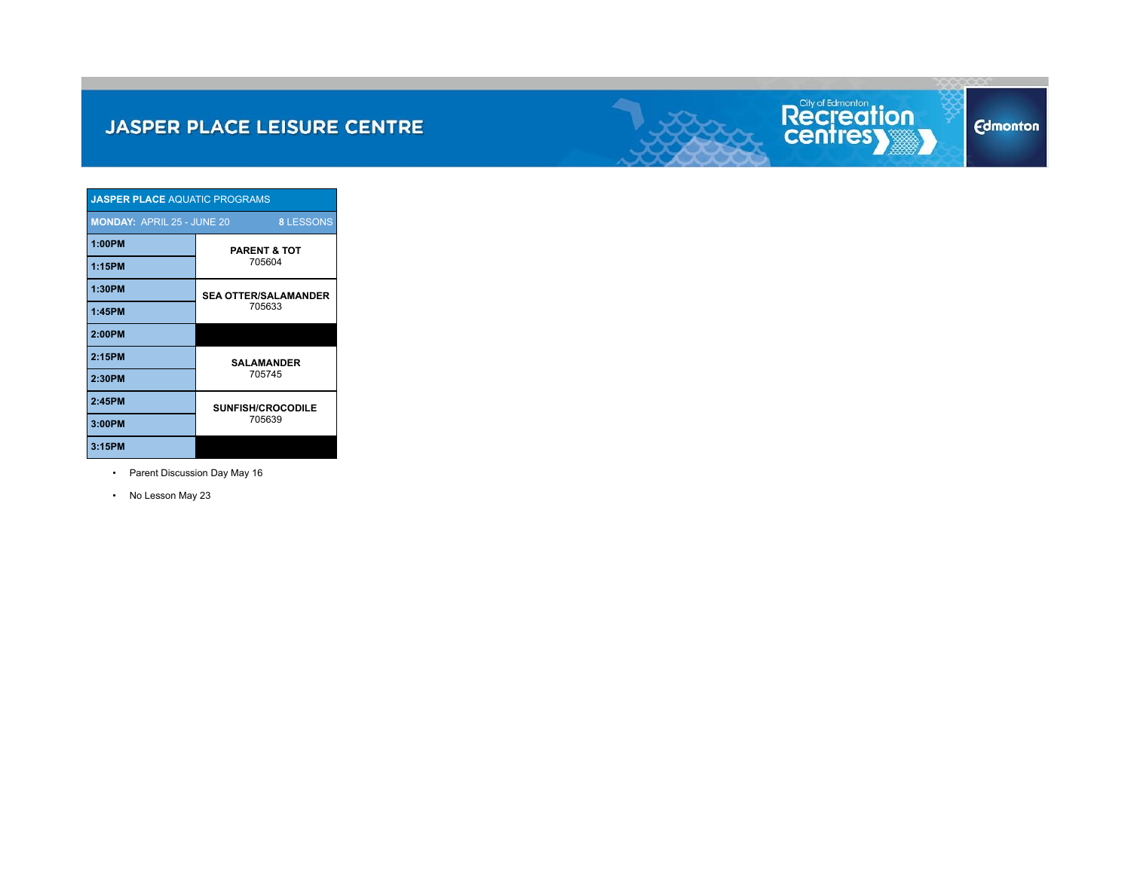

| <b>JASPER PLACE AQUATIC PROGRAMS</b>                  |                             |  |  |  |  |  |  |
|-------------------------------------------------------|-----------------------------|--|--|--|--|--|--|
| <b>MONDAY: APRIL 25 - JUNE 20</b><br><b>8 LESSONS</b> |                             |  |  |  |  |  |  |
| 1:00PM                                                | <b>PARENT &amp; TOT</b>     |  |  |  |  |  |  |
| 1:15PM                                                | 705604                      |  |  |  |  |  |  |
| 1:30PM                                                | <b>SEA OTTER/SALAMANDER</b> |  |  |  |  |  |  |
| 1:45PM                                                | 705633                      |  |  |  |  |  |  |
| 2:00PM                                                |                             |  |  |  |  |  |  |
| 2:15PM                                                | <b>SALAMANDER</b>           |  |  |  |  |  |  |
| 2:30PM                                                | 705745                      |  |  |  |  |  |  |
| 2:45PM                                                | <b>SUNFISH/CROCODILE</b>    |  |  |  |  |  |  |
| 3:00PM                                                | 705639                      |  |  |  |  |  |  |
| 3:15PM                                                |                             |  |  |  |  |  |  |

- Parent Discussion Day May 16
- No Lesson May 23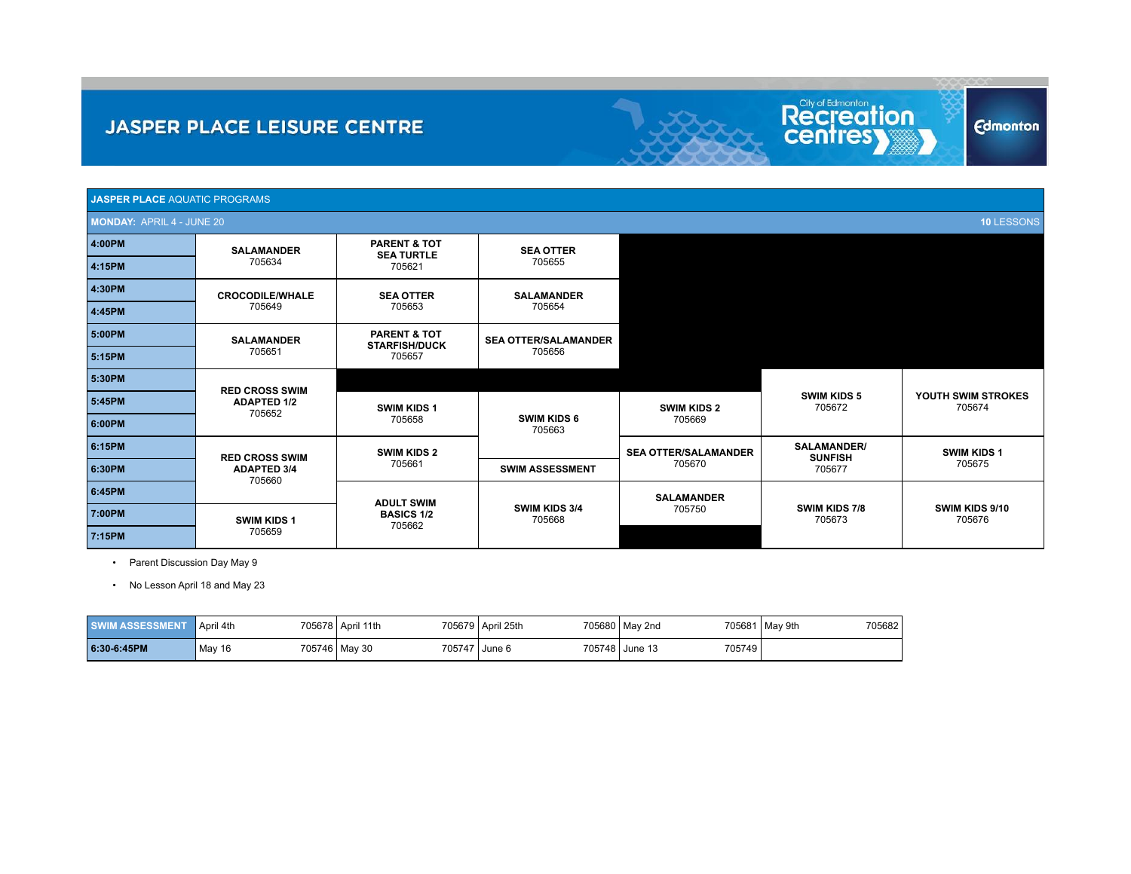| <b>JASPER PLACE AQUATIC PROGRAMS</b>           |                              |                                                 |                              |                             |                               |                              |  |  |  |
|------------------------------------------------|------------------------------|-------------------------------------------------|------------------------------|-----------------------------|-------------------------------|------------------------------|--|--|--|
| <b>MONDAY: APRIL 4 - JUNE 20</b><br>10 LESSONS |                              |                                                 |                              |                             |                               |                              |  |  |  |
| 4:00PM                                         | <b>SALAMANDER</b>            | <b>PARENT &amp; TOT</b><br><b>SEA TURTLE</b>    | <b>SEA OTTER</b>             |                             |                               |                              |  |  |  |
| 4:15PM                                         | 705634                       | 705621                                          | 705655                       |                             |                               |                              |  |  |  |
| 4:30PM                                         | <b>CROCODILE/WHALE</b>       | <b>SEA OTTER</b>                                | <b>SALAMANDER</b>            |                             |                               |                              |  |  |  |
| 4:45PM                                         | 705649                       | 705653                                          | 705654                       |                             |                               |                              |  |  |  |
| 5:00PM                                         | <b>SALAMANDER</b>            | <b>PARENT &amp; TOT</b><br><b>STARFISH/DUCK</b> | <b>SEA OTTER/SALAMANDER</b>  |                             |                               |                              |  |  |  |
| 5:15PM                                         | 705651                       | 705657                                          | 705656                       |                             |                               |                              |  |  |  |
| 5:30PM                                         | <b>RED CROSS SWIM</b>        |                                                 |                              |                             |                               |                              |  |  |  |
| 5:45PM                                         | <b>ADAPTED 1/2</b><br>705652 | <b>SWIM KIDS 1</b>                              |                              | <b>SWIM KIDS 2</b>          | <b>SWIM KIDS 5</b><br>705672  | YOUTH SWIM STROKES<br>705674 |  |  |  |
| 6:00PM                                         |                              | 705658                                          | <b>SWIM KIDS 6</b><br>705663 | 705669                      |                               |                              |  |  |  |
| 6:15PM                                         | <b>RED CROSS SWIM</b>        | <b>SWIM KIDS 2</b>                              |                              | <b>SEA OTTER/SALAMANDER</b> | SALAMANDER/<br><b>SUNFISH</b> | <b>SWIM KIDS 1</b>           |  |  |  |
| 6:30PM                                         | <b>ADAPTED 3/4</b><br>705660 | 705661                                          | <b>SWIM ASSESSMENT</b>       | 705670                      | 705677                        | 705675                       |  |  |  |
| 6:45PM                                         |                              | <b>ADULT SWIM</b>                               |                              | <b>SALAMANDER</b>           |                               |                              |  |  |  |
| 7:00PM                                         | <b>SWIM KIDS 1</b>           | <b>BASICS 1/2</b><br>705662                     | SWIM KIDS 3/4<br>705668      | 705750                      | SWIM KIDS 7/8<br>705673       | SWIM KIDS 9/10<br>705676     |  |  |  |
| 7:15PM                                         | 705659                       |                                                 |                              |                             |                               |                              |  |  |  |

Recreation

**Edmonton** 

• Parent Discussion Day May 9

• No Lesson April 18 and May 23

| <b>SWIM ASSESSMENT</b> | April 4th | 705678 April 11th | 705679 April 25th | 705680 May 2nd           | 705681 May 9th<br>705682 |
|------------------------|-----------|-------------------|-------------------|--------------------------|--------------------------|
| 6:30-6:45PM            | May 16    | 705746   May 30   | 705747 June 6     | 705749<br>705748 June 13 |                          |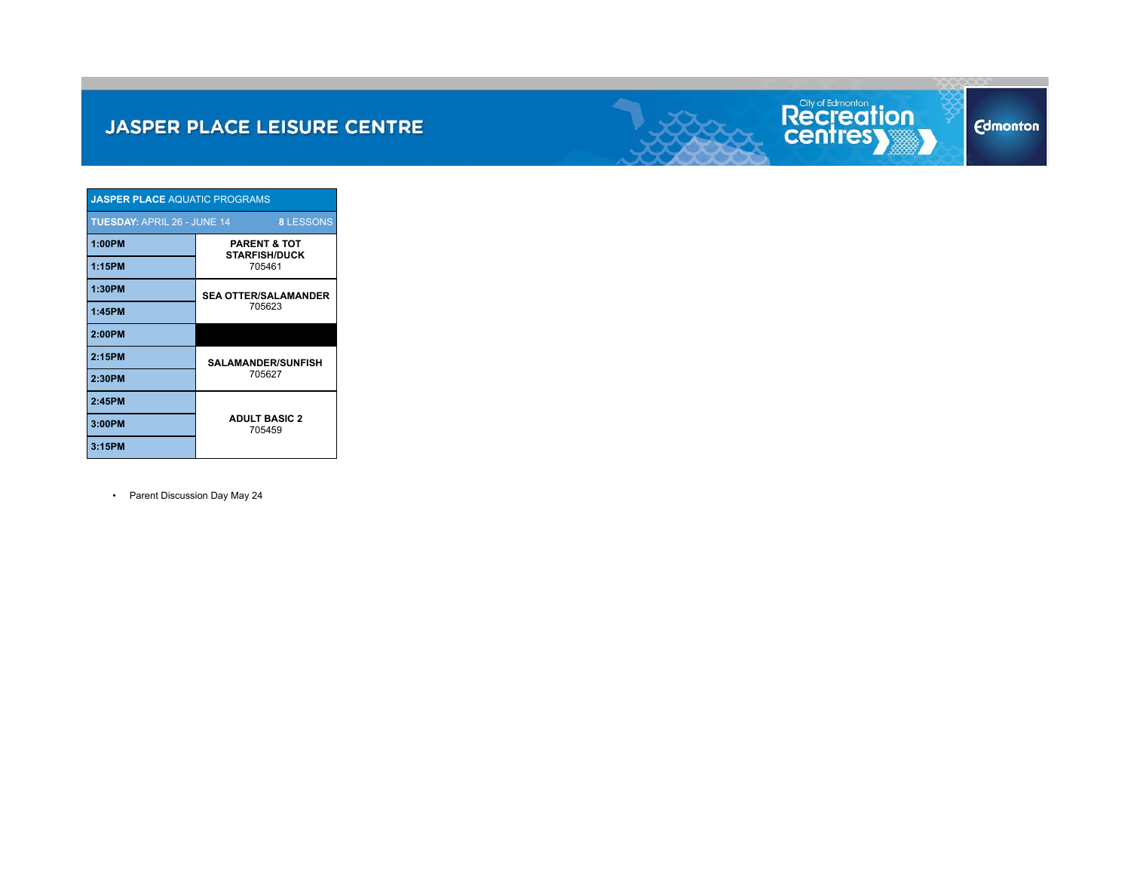

| <b>JASPER PLACE AQUATIC PROGRAMS</b>                   |                                                 |  |  |  |  |  |  |  |
|--------------------------------------------------------|-------------------------------------------------|--|--|--|--|--|--|--|
| <b>TUESDAY: APRIL 26 - JUNE 14</b><br><b>8 LESSONS</b> |                                                 |  |  |  |  |  |  |  |
| 1:00PM                                                 | <b>PARENT &amp; TOT</b><br><b>STARFISH/DUCK</b> |  |  |  |  |  |  |  |
| 1:15PM                                                 | 705461                                          |  |  |  |  |  |  |  |
| 1:30PM                                                 | <b>SEA OTTER/SALAMANDER</b>                     |  |  |  |  |  |  |  |
| 1:45PM                                                 | 705623                                          |  |  |  |  |  |  |  |
| 2:00PM                                                 |                                                 |  |  |  |  |  |  |  |
| 2:15PM                                                 | <b>SALAMANDER/SUNFISH</b>                       |  |  |  |  |  |  |  |
| 2:30PM                                                 | 705627                                          |  |  |  |  |  |  |  |
| 2:45PM                                                 |                                                 |  |  |  |  |  |  |  |
| 3:00PM                                                 | <b>ADULT BASIC 2</b><br>705459                  |  |  |  |  |  |  |  |
| 3:15PM                                                 |                                                 |  |  |  |  |  |  |  |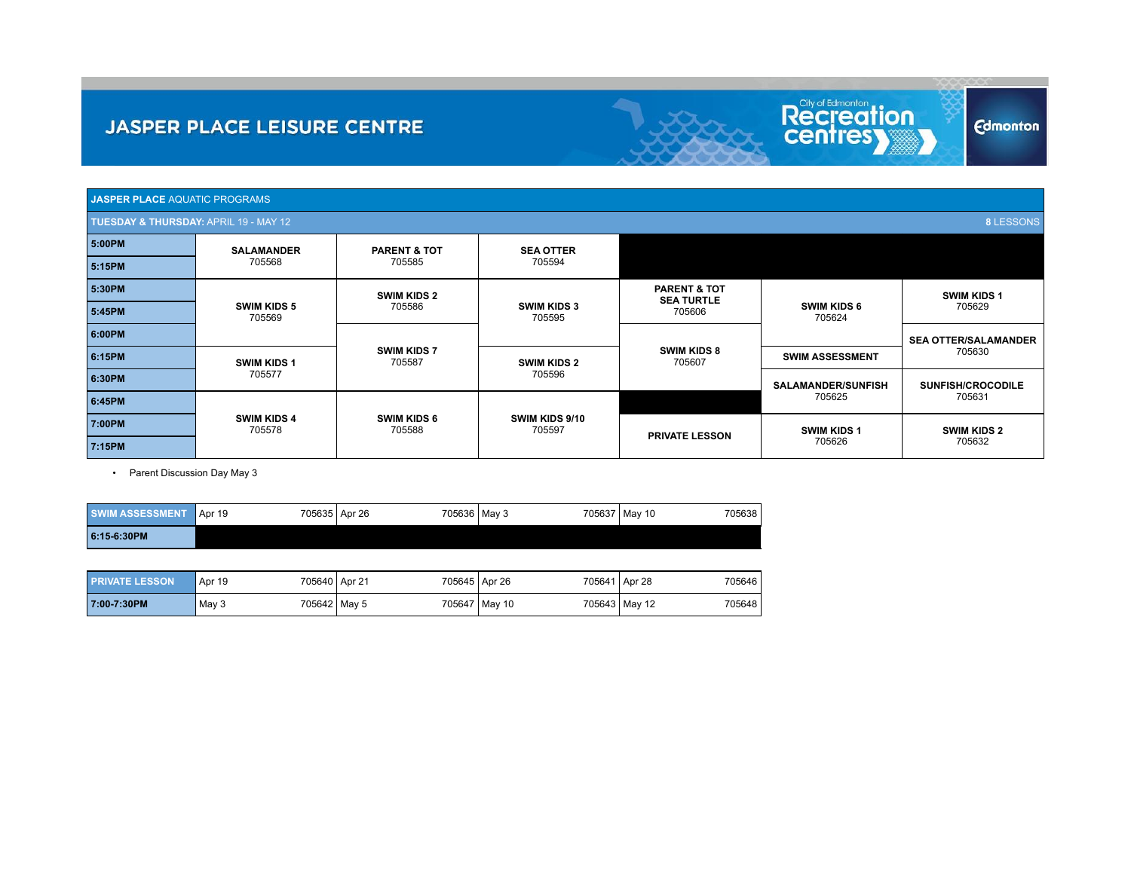| <b>JASPER PLACE</b> AQUATIC PROGRAMS                      |                              |                                                                 |                          |                                              |                              |                             |  |  |  |  |
|-----------------------------------------------------------|------------------------------|-----------------------------------------------------------------|--------------------------|----------------------------------------------|------------------------------|-----------------------------|--|--|--|--|
| <b>8 LESSONS</b><br>TUESDAY & THURSDAY: APRIL 19 - MAY 12 |                              |                                                                 |                          |                                              |                              |                             |  |  |  |  |
| 5:00PM                                                    | <b>SALAMANDER</b>            | <b>PARENT &amp; TOT</b><br><b>SEA OTTER</b><br>705594<br>705585 |                          |                                              |                              |                             |  |  |  |  |
| 5:15PM                                                    | 705568                       |                                                                 |                          |                                              |                              |                             |  |  |  |  |
| 5:30PM                                                    |                              | <b>SWIM KIDS 2</b>                                              |                          | <b>PARENT &amp; TOT</b><br><b>SEA TURTLE</b> |                              | <b>SWIM KIDS 1</b>          |  |  |  |  |
| 5:45PM                                                    | <b>SWIM KIDS 5</b><br>705569 | <b>SWIM KIDS 3</b><br>705586<br>705595                          |                          | 705606                                       | <b>SWIM KIDS 6</b><br>705624 | 705629                      |  |  |  |  |
| 6:00PM                                                    |                              |                                                                 |                          |                                              |                              | <b>SEA OTTER/SALAMANDER</b> |  |  |  |  |
| 6:15PM                                                    | <b>SWIM KIDS 1</b>           | <b>SWIM KIDS 7</b><br>705587                                    | <b>SWIM KIDS 2</b>       | <b>SWIM KIDS 8</b><br>705607                 | <b>SWIM ASSESSMENT</b>       | 705630                      |  |  |  |  |
| 6:30PM                                                    | 705577                       |                                                                 | 705596                   |                                              | <b>SALAMANDER/SUNFISH</b>    | <b>SUNFISH/CROCODILE</b>    |  |  |  |  |
| 6:45PM                                                    |                              |                                                                 |                          |                                              | 705625                       | 705631                      |  |  |  |  |
| 7:00PM                                                    | <b>SWIM KIDS 4</b><br>705578 | <b>SWIM KIDS 6</b><br>705588                                    | SWIM KIDS 9/10<br>705597 | <b>PRIVATE LESSON</b>                        | <b>SWIM KIDS 1</b>           | <b>SWIM KIDS 2</b>          |  |  |  |  |
| 7:15PM                                                    |                              |                                                                 |                          |                                              | 705626                       | 705632                      |  |  |  |  |

Recreation

**Edmonton** 

| <b>SWIM ASSESSMENT</b> | Apr 19 | 705635 Apr 26 | 705636 May 3 |  | 705637 May 10 | 705638 |
|------------------------|--------|---------------|--------------|--|---------------|--------|
| 6:15-6:30PM            |        |               |              |  |               |        |

| <b>PRIVATE LESSON</b> | Apr 19 | 705640 Apr 21 | 705645 Apr 26 |                 | 705641 Apr 28 | 705646 |
|-----------------------|--------|---------------|---------------|-----------------|---------------|--------|
| 7:00-7:30PM           | May 3  | 705642 May 5  |               | 705647   May 10 | 705643 May 12 | 705648 |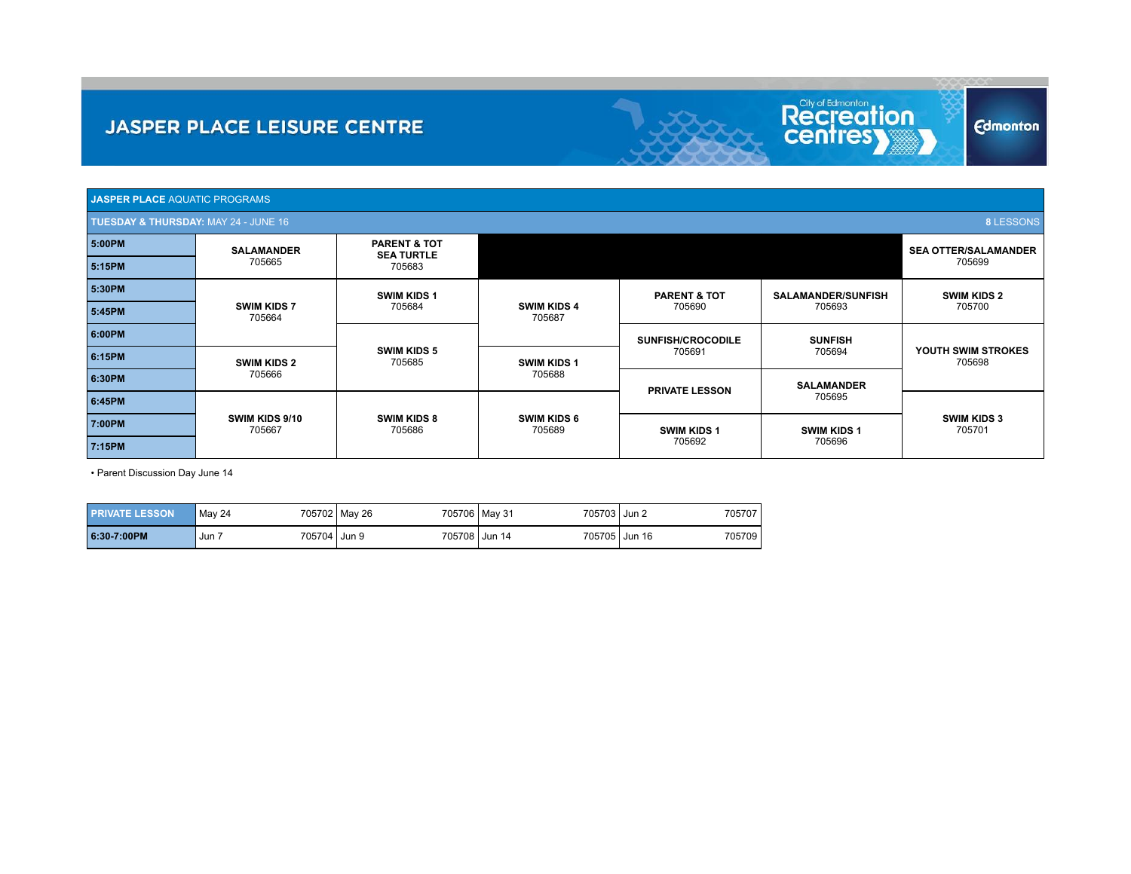| <b>JASPER PLACE AQUATIC PROGRAMS</b>                                |                              |                                              |                              |                          |                             |                              |  |  |  |
|---------------------------------------------------------------------|------------------------------|----------------------------------------------|------------------------------|--------------------------|-----------------------------|------------------------------|--|--|--|
| <b>8 LESSONS</b><br><b>TUESDAY &amp; THURSDAY: MAY 24 - JUNE 16</b> |                              |                                              |                              |                          |                             |                              |  |  |  |
| 5:00PM                                                              | <b>SALAMANDER</b>            | <b>PARENT &amp; TOT</b><br><b>SEA TURTLE</b> |                              |                          | <b>SEA OTTER/SALAMANDER</b> |                              |  |  |  |
| 5:15PM                                                              | 705665                       | 705683                                       |                              |                          |                             |                              |  |  |  |
| 5:30PM                                                              | <b>SWIM KIDS 1</b>           |                                              |                              | <b>PARENT &amp; TOT</b>  | <b>SALAMANDER/SUNFISH</b>   | <b>SWIM KIDS 2</b>           |  |  |  |
| 5:45PM                                                              | <b>SWIM KIDS 7</b><br>705664 | 705684                                       | <b>SWIM KIDS 4</b><br>705687 | 705690                   | 705693                      | 705700                       |  |  |  |
| 6:00PM                                                              |                              |                                              |                              | <b>SUNFISH/CROCODILE</b> | <b>SUNFISH</b>              |                              |  |  |  |
| 6:15PM                                                              | <b>SWIM KIDS 2</b>           | <b>SWIM KIDS 5</b><br>705685                 | <b>SWIM KIDS 1</b>           | 705691                   | 705694                      | YOUTH SWIM STROKES<br>705698 |  |  |  |
| 6:30PM                                                              | 705666                       |                                              | 705688                       | <b>PRIVATE LESSON</b>    | <b>SALAMANDER</b>           |                              |  |  |  |
| 6:45PM                                                              |                              |                                              |                              |                          | 705695                      |                              |  |  |  |
| 7:00PM                                                              | SWIM KIDS 9/10<br>705667     | <b>SWIM KIDS 8</b><br>705686                 | <b>SWIM KIDS 6</b><br>705689 | <b>SWIM KIDS 1</b>       | <b>SWIM KIDS 1</b>          | <b>SWIM KIDS 3</b><br>705701 |  |  |  |
| 7:15PM                                                              |                              |                                              |                              | 705692                   | 705696                      |                              |  |  |  |

Recreation

**Edmonton** 

• Parent Discussion Day June 14

| <b>PRIVATE LESSON</b> | May 24 | 705702 May 26 | 705706 May 31 | 705703 Jun 2  | 705707 |
|-----------------------|--------|---------------|---------------|---------------|--------|
| 6:30-7:00PM           | Jun '  | 705704 Jun 9  | 705708 Jun 14 | 705705 Jun 16 | 705709 |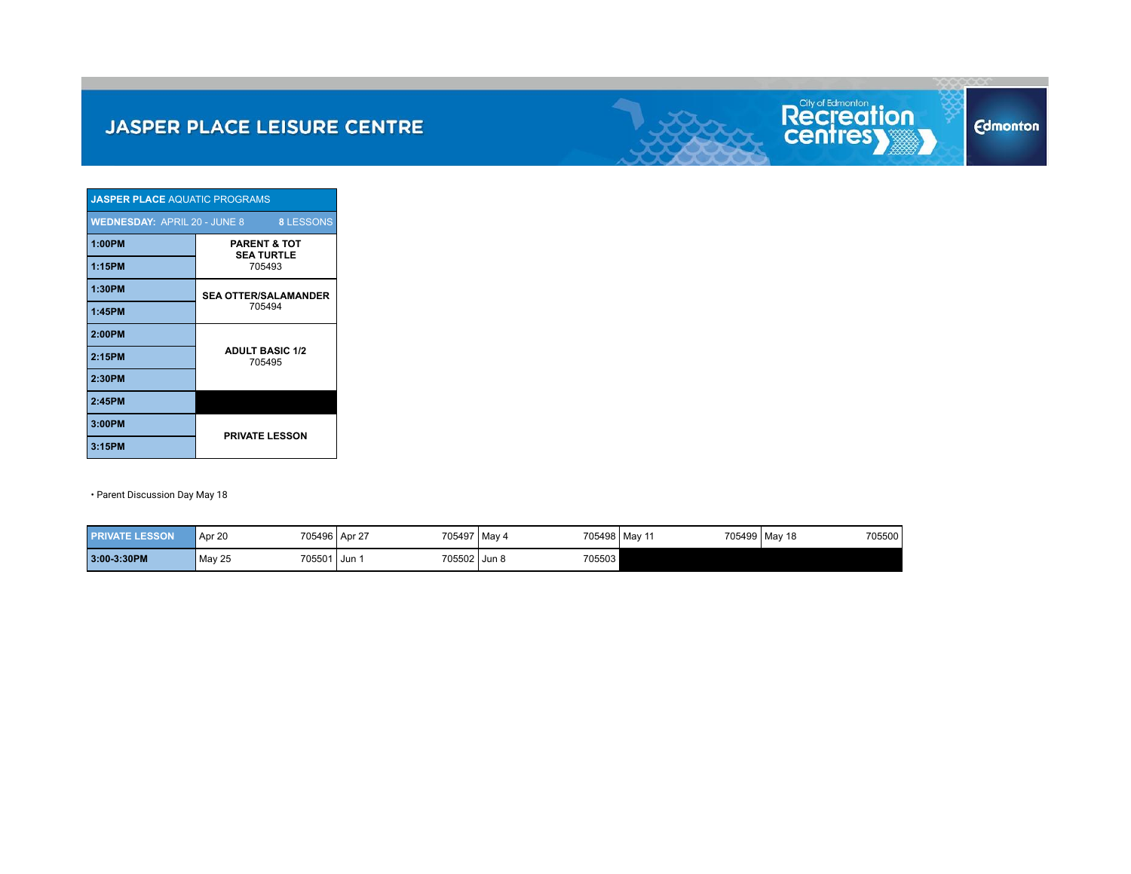

| <b>JASPER PLACE AQUATIC PROGRAMS</b>             |                                              |  |  |  |  |  |  |  |
|--------------------------------------------------|----------------------------------------------|--|--|--|--|--|--|--|
| WEDNESDAY: APRIL 20 - JUNE 8<br><b>8 LESSONS</b> |                                              |  |  |  |  |  |  |  |
| 1:00PM                                           | <b>PARENT &amp; TOT</b><br><b>SEA TURTLE</b> |  |  |  |  |  |  |  |
| 1:15PM                                           | 705493                                       |  |  |  |  |  |  |  |
| 1:30PM                                           | <b>SEA OTTER/SALAMANDER</b>                  |  |  |  |  |  |  |  |
| 1:45PM                                           | 705494                                       |  |  |  |  |  |  |  |
| 2:00PM                                           |                                              |  |  |  |  |  |  |  |
| 2:15PM                                           | <b>ADULT BASIC 1/2</b><br>705495             |  |  |  |  |  |  |  |
| 2:30PM                                           |                                              |  |  |  |  |  |  |  |
| 2:45PM                                           |                                              |  |  |  |  |  |  |  |
| 3:00PM                                           | <b>PRIVATE LESSON</b>                        |  |  |  |  |  |  |  |
| 3:15PM                                           |                                              |  |  |  |  |  |  |  |

| <b>PRIVATE LESSON</b> | Apr 20                  | 705497 May 4<br>705496 Apr 27 |        | 705499 May 18<br>705498 May 11 | 705500 |
|-----------------------|-------------------------|-------------------------------|--------|--------------------------------|--------|
| 3:00-3:30PM           | <b>May 25</b><br>705501 | 705502 Jun 8<br>Jun           | 705503 |                                |        |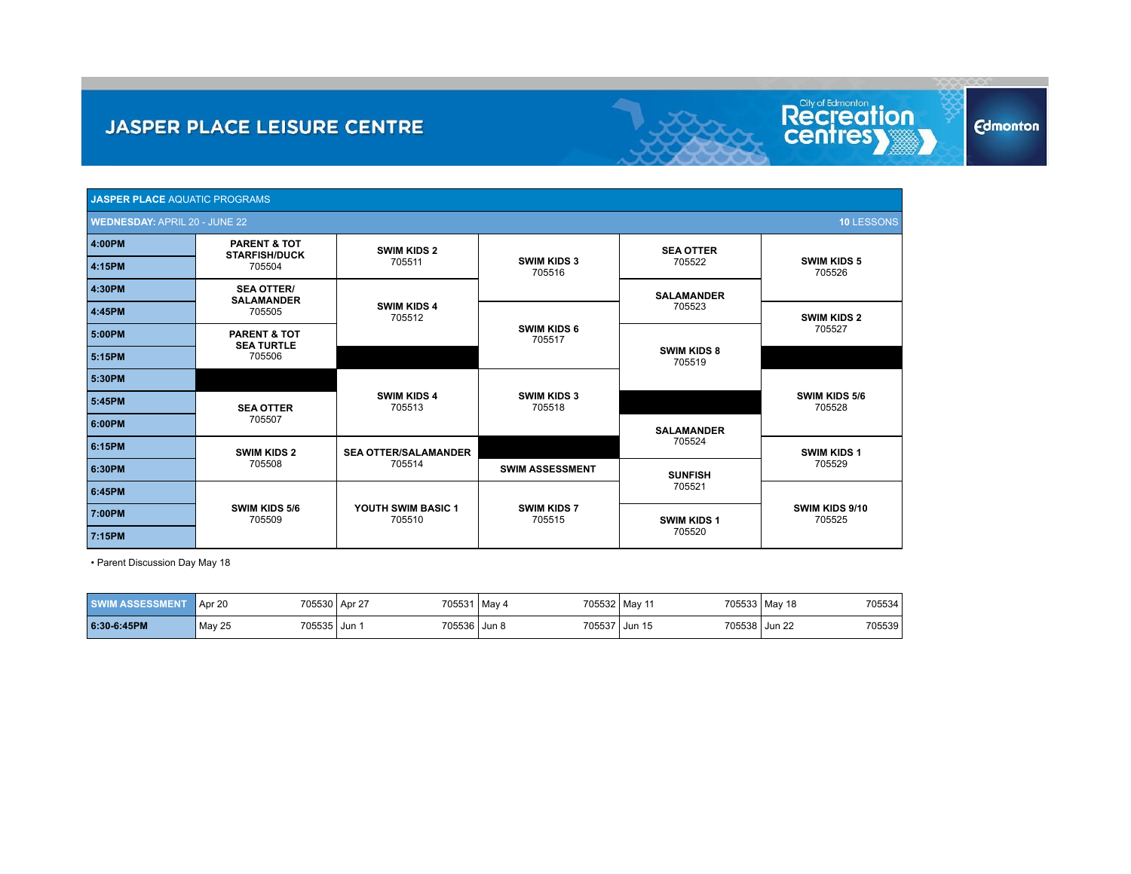| <b>JASPER PLACE AQUATIC PROGRAMS</b>        |                                                 |                              |                              |                              |                              |  |  |  |  |
|---------------------------------------------|-------------------------------------------------|------------------------------|------------------------------|------------------------------|------------------------------|--|--|--|--|
| 10 LESSONS<br>WEDNESDAY: APRIL 20 - JUNE 22 |                                                 |                              |                              |                              |                              |  |  |  |  |
| 4:00PM                                      | <b>PARENT &amp; TOT</b><br><b>STARFISH/DUCK</b> | <b>SWIM KIDS 2</b>           |                              | <b>SEA OTTER</b>             |                              |  |  |  |  |
| 4:15PM                                      | 705504                                          | 705511                       | <b>SWIM KIDS 3</b><br>705516 | 705522                       | <b>SWIM KIDS 5</b><br>705526 |  |  |  |  |
| 4:30PM                                      | <b>SEA OTTER/</b><br><b>SALAMANDER</b>          |                              |                              | <b>SALAMANDER</b>            |                              |  |  |  |  |
| 4:45PM                                      | 705505                                          | <b>SWIM KIDS 4</b><br>705512 |                              | 705523                       | <b>SWIM KIDS 2</b>           |  |  |  |  |
| 5:00PM                                      | <b>PARENT &amp; TOT</b><br><b>SEA TURTLE</b>    |                              | <b>SWIM KIDS 6</b><br>705517 |                              | 705527                       |  |  |  |  |
| 5:15PM                                      | 705506                                          |                              |                              | <b>SWIM KIDS 8</b><br>705519 |                              |  |  |  |  |
| 5:30PM                                      |                                                 |                              |                              |                              |                              |  |  |  |  |
| 5:45PM                                      | <b>SEA OTTER</b>                                | <b>SWIM KIDS 4</b><br>705513 | <b>SWIM KIDS 3</b><br>705518 |                              | SWIM KIDS 5/6<br>705528      |  |  |  |  |
| 6:00PM                                      | 705507                                          |                              |                              | <b>SALAMANDER</b>            |                              |  |  |  |  |
| 6:15PM                                      | <b>SWIM KIDS 2</b>                              | <b>SEA OTTER/SALAMANDER</b>  |                              | 705524                       | <b>SWIM KIDS 1</b>           |  |  |  |  |
| 6:30PM                                      | 705508                                          | 705514                       | <b>SWIM ASSESSMENT</b>       | <b>SUNFISH</b>               | 705529                       |  |  |  |  |
| 6:45PM                                      |                                                 |                              |                              | 705521                       |                              |  |  |  |  |
| 7:00PM                                      | SWIM KIDS 5/6<br>705509                         | YOUTH SWIM BASIC 1<br>705510 | <b>SWIM KIDS 7</b><br>705515 | <b>SWIM KIDS 1</b>           | SWIM KIDS 9/10<br>705525     |  |  |  |  |
| 7:15PM                                      |                                                 |                              |                              | 705520                       |                              |  |  |  |  |

Recreation

**Edmonton** 

| <b><i>ASSESSMENT</i></b><br><b>SWIN</b> | 705530 Apr 27<br>Apr 20 | 705531 | 705532 May 11<br>May 4 |                         | 705533 May 18<br>705534 |
|-----------------------------------------|-------------------------|--------|------------------------|-------------------------|-------------------------|
| 6:30-6:45PM                             | 705535 Jun<br>May 25    | 705536 | 705537<br>Jun 8        | 705538 Jun 22<br>Jun 15 | 705539                  |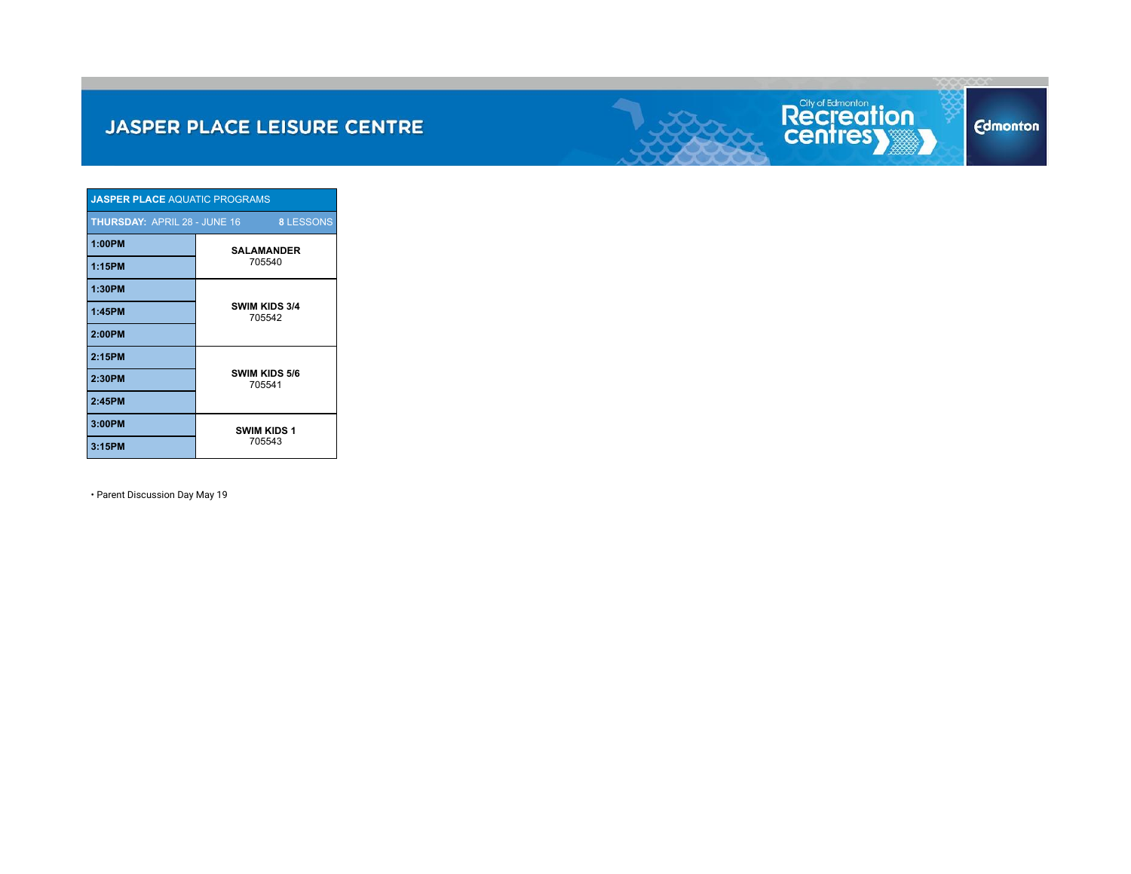

| <b>JASPER PLACE AQUATIC PROGRAMS</b>                    |                              |  |  |  |  |
|---------------------------------------------------------|------------------------------|--|--|--|--|
| <b>THURSDAY: APRIL 28 - JUNE 16</b><br><b>8 LESSONS</b> |                              |  |  |  |  |
| 1:00PM                                                  | <b>SALAMANDER</b><br>705540  |  |  |  |  |
| 1:15PM                                                  |                              |  |  |  |  |
| 1:30PM                                                  | SWIM KIDS 3/4<br>705542      |  |  |  |  |
| 1:45PM                                                  |                              |  |  |  |  |
| 2:00PM                                                  |                              |  |  |  |  |
| 2:15PM                                                  | SWIM KIDS 5/6<br>705541      |  |  |  |  |
| 2:30PM                                                  |                              |  |  |  |  |
| 2:45PM                                                  |                              |  |  |  |  |
| 3:00PM                                                  | <b>SWIM KIDS 1</b><br>705543 |  |  |  |  |
| 3:15PM                                                  |                              |  |  |  |  |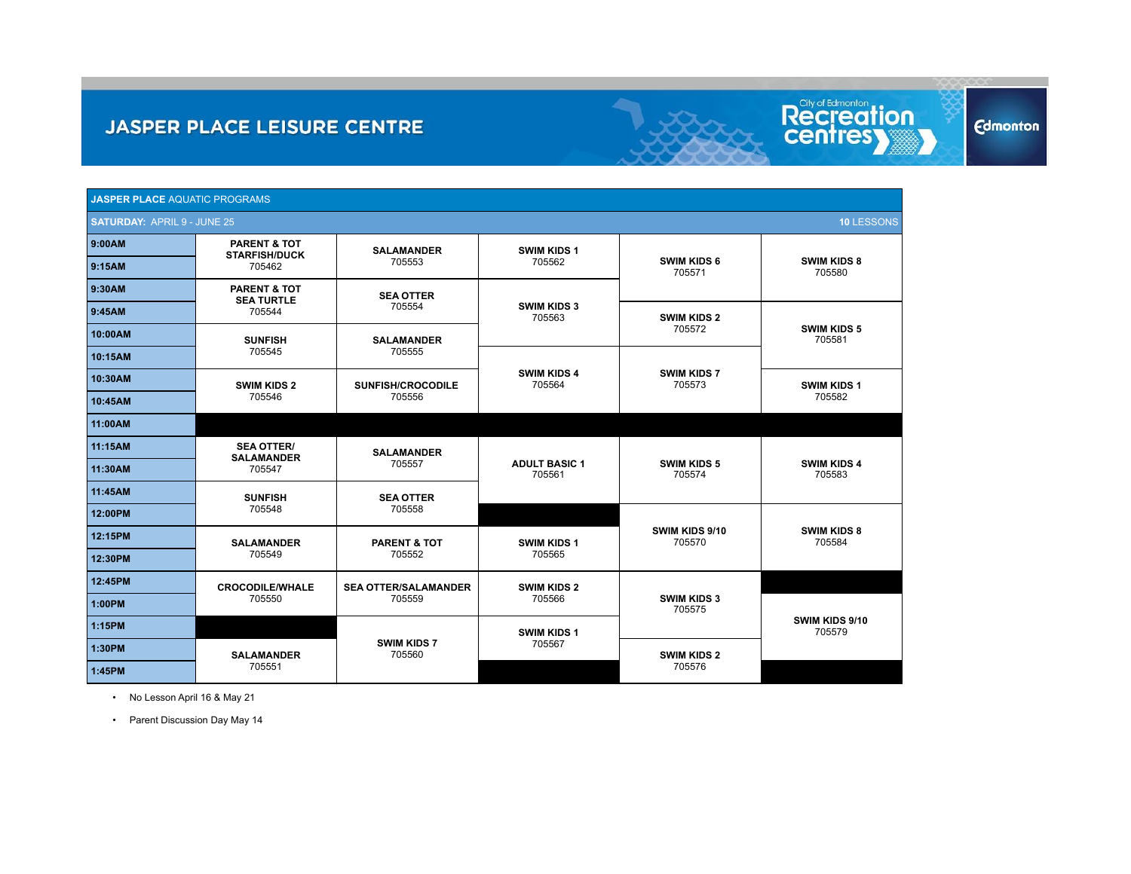| <b>JASPER PLACE AQUATIC PROGRAMS</b>                    |                                                        |                                       |                                |                              |                              |  |
|---------------------------------------------------------|--------------------------------------------------------|---------------------------------------|--------------------------------|------------------------------|------------------------------|--|
| <b>SATURDAY: APRIL 9 - JUNE 25</b><br><b>10 LESSONS</b> |                                                        |                                       |                                |                              |                              |  |
| 9:00AM                                                  | <b>PARENT &amp; TOT</b>                                | <b>SALAMANDER</b>                     | <b>SWIM KIDS 1</b>             |                              |                              |  |
| 9:15AM                                                  | <b>STARFISH/DUCK</b><br>705462                         | 705553                                | 705562                         | <b>SWIM KIDS 6</b><br>705571 | <b>SWIM KIDS 8</b><br>705580 |  |
| 9:30AM                                                  | <b>PARENT &amp; TOT</b><br><b>SEA TURTLE</b><br>705544 | <b>SEA OTTER</b><br>705554            | <b>SWIM KIDS 3</b><br>705563   |                              |                              |  |
| 9:45AM                                                  |                                                        |                                       |                                | <b>SWIM KIDS 2</b><br>705572 | <b>SWIM KIDS 5</b><br>705581 |  |
| 10:00AM                                                 | <b>SUNFISH</b><br>705545                               | <b>SALAMANDER</b><br>705555           |                                |                              |                              |  |
| 10:15AM                                                 |                                                        |                                       | <b>SWIM KIDS 4</b><br>705564   | <b>SWIM KIDS 7</b><br>705573 |                              |  |
| 10:30AM                                                 | <b>SWIM KIDS 2</b><br>705546                           | <b>SUNFISH/CROCODILE</b><br>705556    |                                |                              | <b>SWIM KIDS 1</b><br>705582 |  |
| 10:45AM                                                 |                                                        |                                       |                                |                              |                              |  |
| 11:00AM                                                 |                                                        |                                       |                                |                              |                              |  |
| 11:15AM                                                 | <b>SEA OTTER/</b><br><b>SALAMANDER</b><br>705547       | <b>SALAMANDER</b><br>705557           | <b>ADULT BASIC 1</b><br>705561 | <b>SWIM KIDS 5</b><br>705574 | <b>SWIM KIDS 4</b><br>705583 |  |
| 11:30AM                                                 |                                                        |                                       |                                |                              |                              |  |
| 11:45AM                                                 | <b>SUNFISH</b><br>705548                               | <b>SEA OTTER</b>                      |                                |                              |                              |  |
| 12:00PM                                                 |                                                        | 705558                                |                                | SWIM KIDS 9/10<br>705570     | <b>SWIM KIDS 8</b><br>705584 |  |
| 12:15PM                                                 | <b>SALAMANDER</b><br>705549                            | <b>PARENT &amp; TOT</b><br>705552     | <b>SWIM KIDS 1</b><br>705565   |                              |                              |  |
| 12:30PM                                                 |                                                        |                                       |                                |                              |                              |  |
| 12:45PM                                                 | <b>CROCODILE/WHALE</b><br>705550                       | <b>SEA OTTER/SALAMANDER</b><br>705559 | <b>SWIM KIDS 2</b><br>705566   | SWIM KIDS 3<br>705575        |                              |  |
| 1:00PM                                                  |                                                        |                                       |                                |                              |                              |  |
| 1:15PM                                                  |                                                        |                                       | <b>SWIM KIDS 1</b><br>705567   |                              | SWIM KIDS 9/10<br>705579     |  |
| 1:30PM                                                  | <b>SALAMANDER</b><br>705551                            | <b>SWIM KIDS 7</b><br>705560          |                                | <b>SWIM KIDS 2</b><br>705576 |                              |  |
| 1:45PM                                                  |                                                        |                                       |                                |                              |                              |  |

Recreation

**Edmonton** 

• No Lesson April 16 & May 21